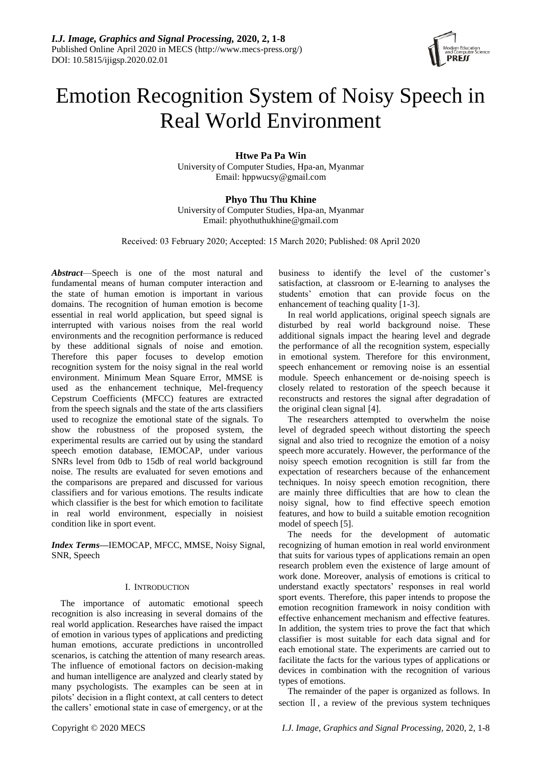

# Emotion Recognition System of Noisy Speech in Real World Environment

**Htwe Pa Pa Win** University of Computer Studies, Hpa-an, Myanmar Email: hppwucsy@gmail.com

**Phyo Thu Thu Khine** University of Computer Studies, Hpa-an, Myanmar Email: phyothuthukhine@gmail.com

Received: 03 February 2020; Accepted: 15 March 2020; Published: 08 April 2020

*Abstract*—Speech is one of the most natural and fundamental means of human computer interaction and the state of human emotion is important in various domains. The recognition of human emotion is become essential in real world application, but speed signal is interrupted with various noises from the real world environments and the recognition performance is reduced by these additional signals of noise and emotion. Therefore this paper focuses to develop emotion recognition system for the noisy signal in the real world environment. Minimum Mean Square Error, MMSE is used as the enhancement technique, Mel-frequency Cepstrum Coefficients (MFCC) features are extracted from the speech signals and the state of the arts classifiers used to recognize the emotional state of the signals. To show the robustness of the proposed system, the experimental results are carried out by using the standard speech emotion database, IEMOCAP, under various SNRs level from 0db to 15db of real world background noise. The results are evaluated for seven emotions and the comparisons are prepared and discussed for various classifiers and for various emotions. The results indicate which classifier is the best for which emotion to facilitate in real world environment, especially in noisiest condition like in sport event.

*Index Terms—*IEMOCAP, MFCC, MMSE, Noisy Signal, SNR, Speech

# I. INTRODUCTION

The importance of automatic emotional speech recognition is also increasing in several domains of the real world application. Researches have raised the impact of emotion in various types of applications and predicting human emotions, accurate predictions in uncontrolled scenarios, is catching the attention of many research areas. The influence of emotional factors on decision-making and human intelligence are analyzed and clearly stated by many psychologists. The examples can be seen at in pilots' decision in a flight context, at call centers to detect the callers' emotional state in case of emergency, or at the

business to identify the level of the customer's satisfaction, at classroom or E-learning to analyses the students' emotion that can provide focus on the enhancement of teaching quality [1-3].

In real world applications, original speech signals are disturbed by real world background noise. These additional signals impact the hearing level and degrade the performance of all the recognition system, especially in emotional system. Therefore for this environment, speech enhancement or removing noise is an essential module. Speech enhancement or de-noising speech is closely related to restoration of the speech because it reconstructs and restores the signal after degradation of the original clean signal [4].

The researchers attempted to overwhelm the noise level of degraded speech without distorting the speech signal and also tried to recognize the emotion of a noisy speech more accurately. However, the performance of the noisy speech emotion recognition is still far from the expectation of researchers because of the enhancement techniques. In noisy speech emotion recognition, there are mainly three difficulties that are how to clean the noisy signal, how to find effective speech emotion features, and how to build a suitable emotion recognition model of speech [5].

The needs for the development of automatic recognizing of human emotion in real world environment that suits for various types of applications remain an open research problem even the existence of large amount of work done. Moreover, analysis of emotions is critical to understand exactly spectators' responses in real world sport events. Therefore, this paper intends to propose the emotion recognition framework in noisy condition with effective enhancement mechanism and effective features. In addition, the system tries to prove the fact that which classifier is most suitable for each data signal and for each emotional state. The experiments are carried out to facilitate the facts for the various types of applications or devices in combination with the recognition of various types of emotions.

The remainder of the paper is organized as follows. In section II, a review of the previous system techniques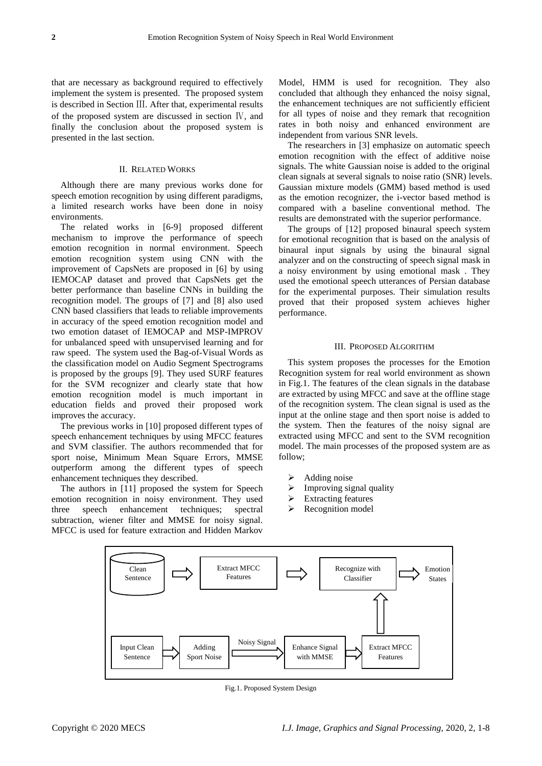that are necessary as background required to effectively implement the system is presented. The proposed system is described in Section Ⅲ. After that, experimental results of the proposed system are discussed in section Ⅳ, and finally the conclusion about the proposed system is presented in the last section.

## II. RELATED WORKS

Although there are many previous works done for speech emotion recognition by using different paradigms, a limited research works have been done in noisy environments.

The related works in [6-9] proposed different mechanism to improve the performance of speech emotion recognition in normal environment. Speech emotion recognition system using CNN with the improvement of CapsNets are proposed in [6] by using IEMOCAP dataset and proved that CapsNets get the better performance than baseline CNNs in building the recognition model. The groups of [7] and [8] also used CNN based classifiers that leads to reliable improvements in accuracy of the speed emotion recognition model and two emotion dataset of IEMOCAP and MSP-IMPROV for unbalanced speed with unsupervised learning and for raw speed. The system used the Bag-of-Visual Words as the classification model on Audio Segment Spectrograms is proposed by the groups [9]. They used SURF features for the SVM recognizer and clearly state that how emotion recognition model is much important in education fields and proved their proposed work improves the accuracy.

The previous works in [10] proposed different types of speech enhancement techniques by using MFCC features and SVM classifier. The authors recommended that for sport noise, Minimum Mean Square Errors, MMSE outperform among the different types of speech enhancement techniques they described.

The authors in [11] proposed the system for Speech emotion recognition in noisy environment. They used three speech enhancement techniques; spectral subtraction, wiener filter and MMSE for noisy signal. MFCC is used for feature extraction and Hidden Markov

Model, HMM is used for recognition. They also concluded that although they enhanced the noisy signal, the enhancement techniques are not sufficiently efficient for all types of noise and they remark that recognition rates in both noisy and enhanced environment are independent from various SNR levels.

The researchers in [3] emphasize on automatic speech emotion recognition with the effect of additive noise signals. The white Gaussian noise is added to the original clean signals at several signals to noise ratio (SNR) levels. Gaussian mixture models (GMM) based method is used as the emotion recognizer, the i-vector based method is compared with a baseline conventional method. The results are demonstrated with the superior performance.

The groups of [12] proposed binaural speech system for emotional recognition that is based on the analysis of binaural input signals by using the binaural signal analyzer and on the constructing of speech signal mask in a noisy environment by using emotional mask . They used the emotional speech utterances of Persian database for the experimental purposes. Their simulation results proved that their proposed system achieves higher performance.

## III. PROPOSED ALGORITHM

This system proposes the processes for the Emotion Recognition system for real world environment as shown in Fig.1. The features of the clean signals in the database are extracted by using MFCC and save at the offline stage of the recognition system. The clean signal is used as the input at the online stage and then sport noise is added to the system. Then the features of the noisy signal are extracted using MFCC and sent to the SVM recognition model. The main processes of the proposed system are as follow;

- Adding noise
- $\triangleright$  Improving signal quality
- Extracting features
- $\triangleright$  Recognition model



Fig.1. Proposed System Design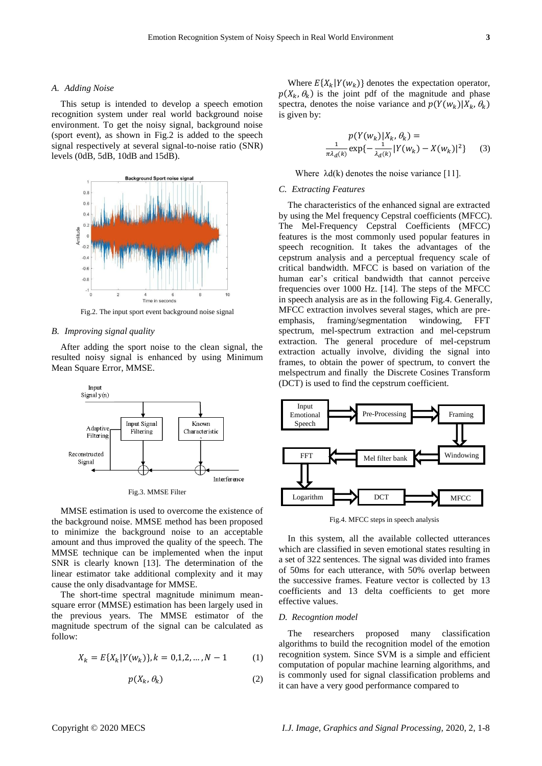## *A. Adding Noise*

This setup is intended to develop a speech emotion recognition system under real world background noise environment. To get the noisy signal, background noise (sport event), as shown in Fig.2 is added to the speech signal respectively at several signal-to-noise ratio (SNR) levels (0dB, 5dB, 10dB and 15dB).



Fig.2. The input sport event background noise signal

## *B. Improving signal quality*

After adding the sport noise to the clean signal, the resulted noisy signal is enhanced by using Minimum Mean Square Error, MMSE.



MMSE estimation is used to overcome the existence of the background noise. MMSE method has been proposed to minimize the background noise to an acceptable amount and thus improved the quality of the speech. The MMSE technique can be implemented when the input SNR is clearly known [13]. The determination of the linear estimator take additional complexity and it may cause the only disadvantage for MMSE.

The short-time spectral magnitude minimum meansquare error (MMSE) estimation has been largely used in the previous years. The MMSE estimator of the magnitude spectrum of the signal can be calculated as follow:

$$
X_k = E\{X_k | Y(w_k)\}, k = 0, 1, 2, \dots, N - 1 \tag{1}
$$

$$
p(X_k, \theta_k) \tag{2}
$$

Where  $E\{X_k | Y(w_k)\}$  denotes the expectation operator,  $p(X_k, \theta_k)$  is the joint pdf of the magnitude and phase spectra, denotes the noise variance and  $p(Y(w_k)|X_k, \theta_k)$ is given by:

$$
p(Y(w_k)|X_k, \theta_k) = \frac{1}{\pi \lambda_d(k)} \exp\{-\frac{1}{\lambda_d(k)} |Y(w_k) - X(w_k)|^2\}
$$
 (3)

Where  $\lambda d(k)$  denotes the noise variance [11].

# *C. Extracting Features*

The characteristics of the enhanced signal are extracted by using the Mel frequency Cepstral coefficients (MFCC). The Mel-Frequency Cepstral Coefficients (MFCC) features is the most commonly used popular features in speech recognition. It takes the advantages of the cepstrum analysis and a perceptual frequency scale of critical bandwidth. MFCC is based on variation of the human ear's critical bandwidth that cannot perceive frequencies over 1000 Hz. [14]. The steps of the MFCC in speech analysis are as in the following Fig.4. Generally, MFCC extraction involves several stages, which are preemphasis, framing/segmentation windowing, FFT spectrum, mel-spectrum extraction and mel-cepstrum extraction. The general procedure of mel-cepstrum extraction actually involve, dividing the signal into frames, to obtain the power of spectrum, to convert the melspectrum and finally the Discrete Cosines Transform (DCT) is used to find the cepstrum coefficient.



Fig.4. MFCC steps in speech analysis

In this system, all the available collected utterances which are classified in seven emotional states resulting in a set of 322 sentences. The signal was divided into frames of 50ms for each utterance, with 50% overlap between the successive frames. Feature vector is collected by 13 coefficients and 13 delta coefficients to get more effective values.

#### *D. Recogntion model*

The researchers proposed many classification algorithms to build the recognition model of the emotion recognition system. Since SVM is a simple and efficient computation of popular machine learning algorithms, and is commonly used for signal classification problems and it can have a very good performance compared to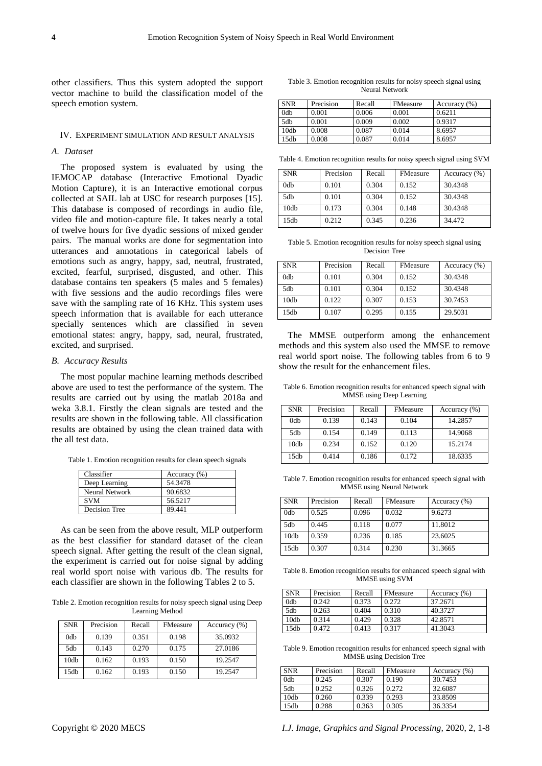other classifiers. Thus this system adopted the support vector machine to build the classification model of the speech emotion system.

### IV. EXPERIMENT SIMULATION AND RESULT ANALYSIS

# *A. Dataset*

The proposed system is evaluated by using the IEMOCAP database (Interactive Emotional Dyadic Motion Capture), it is an Interactive emotional corpus collected at SAIL lab at USC for research purposes [15]. This database is composed of recordings in audio file, video file and motion-capture file. It takes nearly a total of twelve hours for five dyadic sessions of mixed gender pairs. The manual works are done for segmentation into utterances and annotations in categorical labels of emotions such as angry, happy, sad, neutral, frustrated, excited, fearful, surprised, disgusted, and other. This database contains ten speakers (5 males and 5 females) with five sessions and the audio recordings files were save with the sampling rate of 16 KHz. This system uses speech information that is available for each utterance specially sentences which are classified in seven emotional states: angry, happy, sad, neural, frustrated, excited, and surprised.

#### *B. Accuracy Results*

The most popular machine learning methods described above are used to test the performance of the system. The results are carried out by using the matlab 2018a and weka 3.8.1. Firstly the clean signals are tested and the results are shown in the following table. All classification results are obtained by using the clean trained data with the all test data.

Table 1. Emotion recognition results for clean speech signals

| Classifier            | Accuracy $(\% )$ |
|-----------------------|------------------|
| Deep Learning         | 54.3478          |
| <b>Neural Network</b> | 90.6832          |
| <b>SVM</b>            | 56.5217          |
| Decision Tree         | 89.441           |

As can be seen from the above result, MLP outperform as the best classifier for standard dataset of the clean speech signal. After getting the result of the clean signal, the experiment is carried out for noise signal by adding real world sport noise with various db. The results for each classifier are shown in the following Tables 2 to 5.

Table 2. Emotion recognition results for noisy speech signal using Deep Learning Method

| <b>SNR</b> | Precision | Recall | <b>FMeasure</b> | Accuracy (%) |
|------------|-----------|--------|-----------------|--------------|
| 0db        | 0.139     | 0.351  | 0.198           | 35.0932      |
| 5db        | 0.143     | 0.270  | 0.175           | 27.0186      |
| 10db       | 0.162     | 0.193  | 0.150           | 19.2547      |
| 15db       | 0.162     | 0.193  | 0.150           | 19.2547      |

| Table 3. Emotion recognition results for noisy speech signal using |  |
|--------------------------------------------------------------------|--|
| Neural Network                                                     |  |

| <b>SNR</b> | Precision | Recall | FMeasure | Accuracy $(\% )$ |
|------------|-----------|--------|----------|------------------|
| 0db        | 0.001     | 0.006  | 0.001    | 0.6211           |
| 5db        | 0.001     | 0.009  | 0.002    | 0.9317           |
| 10db       | 0.008     | 0.087  | 0.014    | 8.6957           |
| 15db       | 0.008     | 0.087  | 0.014    | 8.6957           |

Table 4. Emotion recognition results for noisy speech signal using SVM

| <b>SNR</b>       | Precision | Recall | FMeasure | Accuracy (%) |
|------------------|-----------|--------|----------|--------------|
| 0 <sub>d</sub> b | 0.101     | 0.304  | 0.152    | 30.4348      |
| 5db              | 0.101     | 0.304  | 0.152    | 30.4348      |
| 10 <sub>db</sub> | 0.173     | 0.304  | 0.148    | 30.4348      |
| 15db             | 0.212     | 0.345  | 0.236    | 34.472       |

Table 5. Emotion recognition results for noisy speech signal using Decision Tree

| <b>SNR</b>       | Precision | Recall | <b>FMeasure</b> | Accuracy (%) |
|------------------|-----------|--------|-----------------|--------------|
| 0 <sub>d</sub> b | 0.101     | 0.304  | 0.152           | 30.4348      |
| 5db              | 0.101     | 0.304  | 0.152           | 30.4348      |
| 10db             | 0.122     | 0.307  | 0.153           | 30.7453      |
| 15db             | 0.107     | 0.295  | 0.155           | 29.5031      |

The MMSE outperform among the enhancement methods and this system also used the MMSE to remove real world sport noise. The following tables from 6 to 9 show the result for the enhancement files.

Table 6. Emotion recognition results for enhanced speech signal with MMSE using Deep Learning

| <b>SNR</b> | Precision | Recall | <b>FMeasure</b> | Accuracy (%) |
|------------|-----------|--------|-----------------|--------------|
| 0db        | 0.139     | 0.143  | 0.104           | 14.2857      |
| 5db        | 0.154     | 0.149  | 0.113           | 14.9068      |
| 10db       | 0.234     | 0.152  | 0.120           | 15.2174      |
| 15db       | 0.414     | 0.186  | 0.172           | 18.6335      |

Table 7. Emotion recognition results for enhanced speech signal with MMSE using Neural Network

| <b>SNR</b>       | Precision | Recall | <b>FMeasure</b> | Accuracy (%) |
|------------------|-----------|--------|-----------------|--------------|
| 0 <sub>d</sub> b | 0.525     | 0.096  | 0.032           | 9.6273       |
| 5db              | 0.445     | 0.118  | 0.077           | 11.8012      |
| 10db             | 0.359     | 0.236  | 0.185           | 23.6025      |
| 15db             | 0.307     | 0.314  | 0.230           | 31.3665      |

Table 8. Emotion recognition results for enhanced speech signal with MMSE using SVM

| <b>SNR</b>       | Precision | Recall | <b>FMeasure</b> | Accuracy (%) |
|------------------|-----------|--------|-----------------|--------------|
| 0 <sub>db</sub>  | 0.242     | 0.373  | 0.272           | 37.2671      |
| 5db              | 0.263     | 0.404  | 0.310           | 40.3727      |
| 10 <sub>db</sub> | 0.314     | 0.429  | 0.328           | 42.8571      |
| 5d <sub>b</sub>  | 0.472     | 0.413  | 0.317           | 41.3043      |

Table 9. Emotion recognition results for enhanced speech signal with MMSE using Decision Tree

| <b>SNR</b>       | Precision | Recall | FMeasure | Accuracy $(\% )$ |
|------------------|-----------|--------|----------|------------------|
| 0 <sub>dh</sub>  | 0.245     | 0.307  | 0.190    | 30.7453          |
| 5db              | 0.252     | 0.326  | 0.272    | 32.6087          |
| 10 <sub>db</sub> | 0.260     | 0.339  | 0.293    | 33.8509          |
| 15db             | 0.288     | 0.363  | 0.305    | 36.3354          |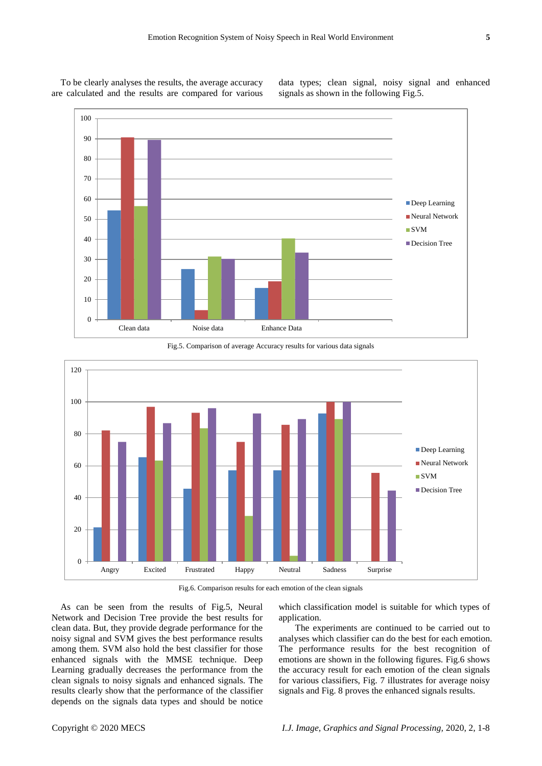To be clearly analyses the results, the average accuracy are calculated and the results are compared for various data types; clean signal, noisy signal and enhanced signals as shown in the following Fig.5.



Fig.5. Comparison of average Accuracy results for various data signals



Fig.6. Comparison results for each emotion of the clean signals

As can be seen from the results of Fig.5, Neural Network and Decision Tree provide the best results for clean data. But, they provide degrade performance for the noisy signal and SVM gives the best performance results among them. SVM also hold the best classifier for those enhanced signals with the MMSE technique. Deep Learning gradually decreases the performance from the clean signals to noisy signals and enhanced signals. The results clearly show that the performance of the classifier depends on the signals data types and should be notice which classification model is suitable for which types of application.

The experiments are continued to be carried out to analyses which classifier can do the best for each emotion. The performance results for the best recognition of emotions are shown in the following figures. Fig.6 shows the accuracy result for each emotion of the clean signals for various classifiers, Fig. 7 illustrates for average noisy signals and Fig. 8 proves the enhanced signals results.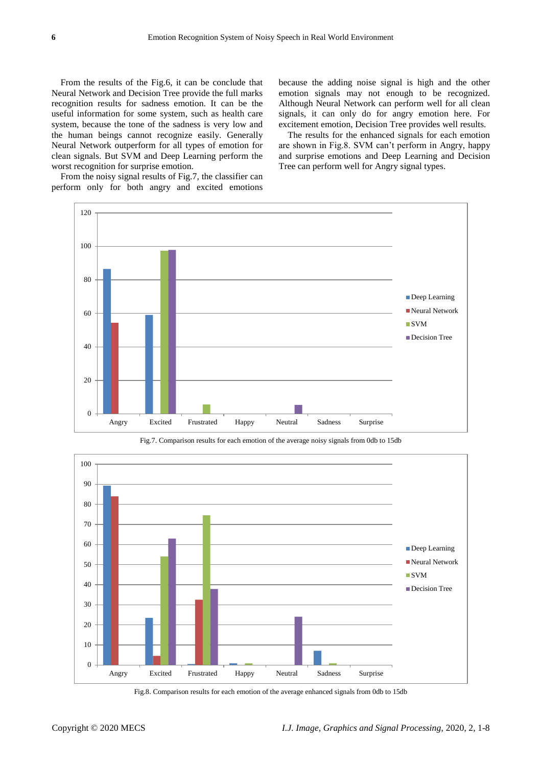From the results of the Fig.6, it can be conclude that Neural Network and Decision Tree provide the full marks recognition results for sadness emotion. It can be the useful information for some system, such as health care system, because the tone of the sadness is very low and the human beings cannot recognize easily. Generally Neural Network outperform for all types of emotion for clean signals. But SVM and Deep Learning perform the worst recognition for surprise emotion.

because the adding noise signal is high and the other emotion signals may not enough to be recognized. Although Neural Network can perform well for all clean signals, it can only do for angry emotion here. For excitement emotion, Decision Tree provides well results.

The results for the enhanced signals for each emotion are shown in Fig.8. SVM can't perform in Angry, happy and surprise emotions and Deep Learning and Decision Tree can perform well for Angry signal types.

From the noisy signal results of Fig.7, the classifier can perform only for both angry and excited emotions



Fig.7. Comparison results for each emotion of the average noisy signals from 0db to 15db



Fig.8. Comparison results for each emotion of the average enhanced signals from 0db to 15db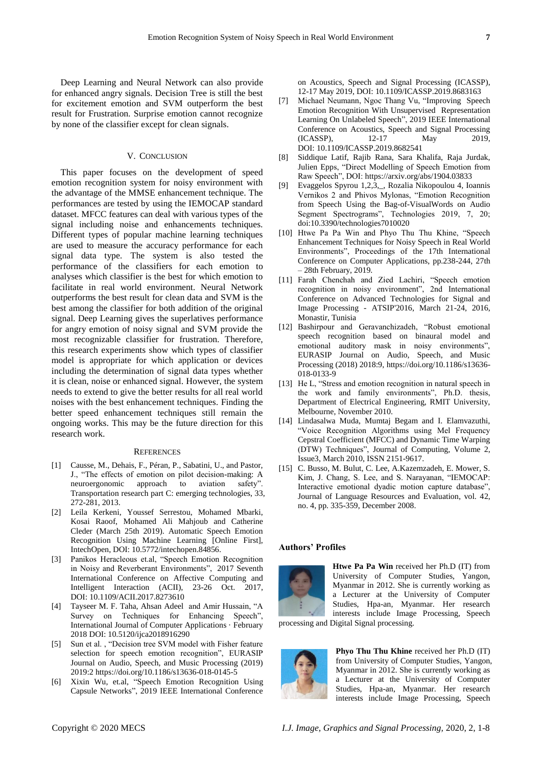Deep Learning and Neural Network can also provide for enhanced angry signals. Decision Tree is still the best for excitement emotion and SVM outperform the best result for Frustration. Surprise emotion cannot recognize by none of the classifier except for clean signals.

# V. CONCLUSION

This paper focuses on the development of speed emotion recognition system for noisy environment with the advantage of the MMSE enhancement technique. The performances are tested by using the IEMOCAP standard dataset. MFCC features can deal with various types of the signal including noise and enhancements techniques. Different types of popular machine learning techniques are used to measure the accuracy performance for each signal data type. The system is also tested the performance of the classifiers for each emotion to analyses which classifier is the best for which emotion to facilitate in real world environment. Neural Network outperforms the best result for clean data and SVM is the best among the classifier for both addition of the original signal. Deep Learning gives the superlatives performance for angry emotion of noisy signal and SVM provide the most recognizable classifier for frustration. Therefore, this research experiments show which types of classifier model is appropriate for which application or devices including the determination of signal data types whether it is clean, noise or enhanced signal. However, the system needs to extend to give the better results for all real world noises with the best enhancement techniques. Finding the better speed enhancement techniques still remain the ongoing works. This may be the future direction for this research work.

## **REFERENCES**

- [1] Causse, M., Dehais, F., Péran, P., Sabatini, U., and Pastor, J., "The effects of emotion on pilot decision-making: A neuroergonomic approach to aviation safety". Transportation research part C: emerging technologies, 33, 272-281, 2013.
- [2] Leila Kerkeni, Youssef Serrestou, Mohamed Mbarki, Kosai Raoof, Mohamed Ali Mahjoub and Catherine Cleder (March 25th 2019). Automatic Speech Emotion Recognition Using Machine Learning [Online First], IntechOpen, DOI: 10.5772/intechopen.84856.
- [3] Panikos Heracleous et.al, "Speech Emotion Recognition in Noisy and Reverberant Environments", 2017 Seventh International Conference on Affective Computing and Intelligent Interaction (ACII), 23-26 Oct. 2017, DOI: [10.1109/ACII.2017.8273610](https://doi.org/10.1109/ACII.2017.8273610)
- [4] Tayseer M. F. Taha, Ahsan Adeel and Amir Hussain, "A Survey on Techniques for Enhancing Speech", International Journal of Computer Applications · February 2018 DOI: 10.5120/ijca2018916290
- [5] Sun et al. , "Decision tree SVM model with Fisher feature selection for speech emotion recognition", EURASIP Journal on Audio, Speech, and Music Processing (2019) 2019:2 <https://doi.org/10.1186/s13636-018-0145-5>
- [6] Xixin Wu, et.al, "Speech Emotion Recognition Using Capsule Networks", [2019 IEEE International Conference](https://ieeexplore.ieee.org/xpl/conhome/8671773/proceeding)

[on Acoustics, Speech and Signal Processing \(ICASSP\),](https://ieeexplore.ieee.org/xpl/conhome/8671773/proceeding)  12-17 May 2019, DOI: [10.1109/ICASSP.2019.8683163](https://doi.org/10.1109/ICASSP.2019.8683163)

- [7] Michael Neumann, Ngoc Thang Vu, "Improving Speech Emotion Recognition With Unsupervised Representation Learning On Unlabeled Speech", [2019 IEEE International](https://ieeexplore.ieee.org/xpl/conhome/8671773/proceeding)  Conference on Acoustics, Speech and Signal Processing<br>(ICASSP). 12-17 May 2019. [\(ICASSP\),](https://ieeexplore.ieee.org/xpl/conhome/8671773/proceeding) 12-17 May 2019, DOI: [10.1109/ICASSP.2019.8682541](https://doi.org/10.1109/ICASSP.2019.8682541)
- [8] Siddique Latif, Rajib Rana, Sara Khalifa, Raja Jurdak, Julien Epps, "Direct Modelling of Speech Emotion from Raw Speech", DOI:<https://arxiv.org/abs/1904.03833>
- [9] Evaggelos Spyrou 1,2,3,\_, Rozalia Nikopoulou 4, Ioannis Vernikos 2 and Phivos Mylonas, "Emotion Recognition from Speech Using the Bag-of-VisualWords on Audio Segment Spectrograms", Technologies 2019, 7, 20; doi:10.3390/technologies7010020
- [10] Htwe Pa Pa Win and Phyo Thu Thu Khine, "Speech Enhancement Techniques for Noisy Speech in Real World Environments", Proceedings of the 17th International Conference on Computer Applications, pp.238-244, 27th – 28th February, 2019.
- [11] Farah Chenchah and Zied Lachiri, "Speech emotion recognition in noisy environment", 2nd International Conference on Advanced Technologies for Signal and Image Processing - ATSIP'2016, March 21-24, 2016, Monastir, Tunisia
- [12] Bashirpour and Geravanchizadeh, "Robust emotional speech recognition based on binaural model and emotional auditory mask in noisy environments", EURASIP Journal on Audio, Speech, and Music Processing (2018) 2018:9[, https://doi.org/10.1186/s13636-](https://doi.org/10.1186/s13636-018-0133-9) [018-0133-9](https://doi.org/10.1186/s13636-018-0133-9)
- [13] He L, "Stress and emotion recognition in natural speech in the work and family environments", Ph.D. thesis, Department of Electrical Engineering, RMIT University, Melbourne, November 2010.
- [14] Lindasalwa Muda, Mumtaj Begam and I. Elamvazuthi, "Voice Recognition Algorithms using Mel Frequency Cepstral Coefficient (MFCC) and Dynamic Time Warping (DTW) Techniques", Journal of Computing, Volume 2, Issue3, March 2010, ISSN 2151-9617.
- [15] C. Busso, M. Bulut, C. Lee, A.Kazemzadeh, E. Mower, S. Kim, J. Chang, S. Lee, and S. Narayanan, "IEMOCAP: Interactive emotional dyadic motion capture database", Journal of Language Resources and Evaluation, vol. 42, no. 4, pp. 335-359, December 2008.

# **Authors' Profiles**



**Htwe Pa Pa Win** received her Ph.D (IT) from University of Computer Studies, Yangon, Myanmar in 2012. She is currently working as a Lecturer at the University of Computer Studies, Hpa-an, Myanmar. Her research interests include Image Processing, Speech

processing and Digital Signal processing.



**Phyo Thu Thu Khine** received her Ph.D (IT) from University of Computer Studies, Yangon, Myanmar in 2012. She is currently working as a Lecturer at the University of Computer Studies, Hpa-an, Myanmar. Her research interests include Image Processing, Speech